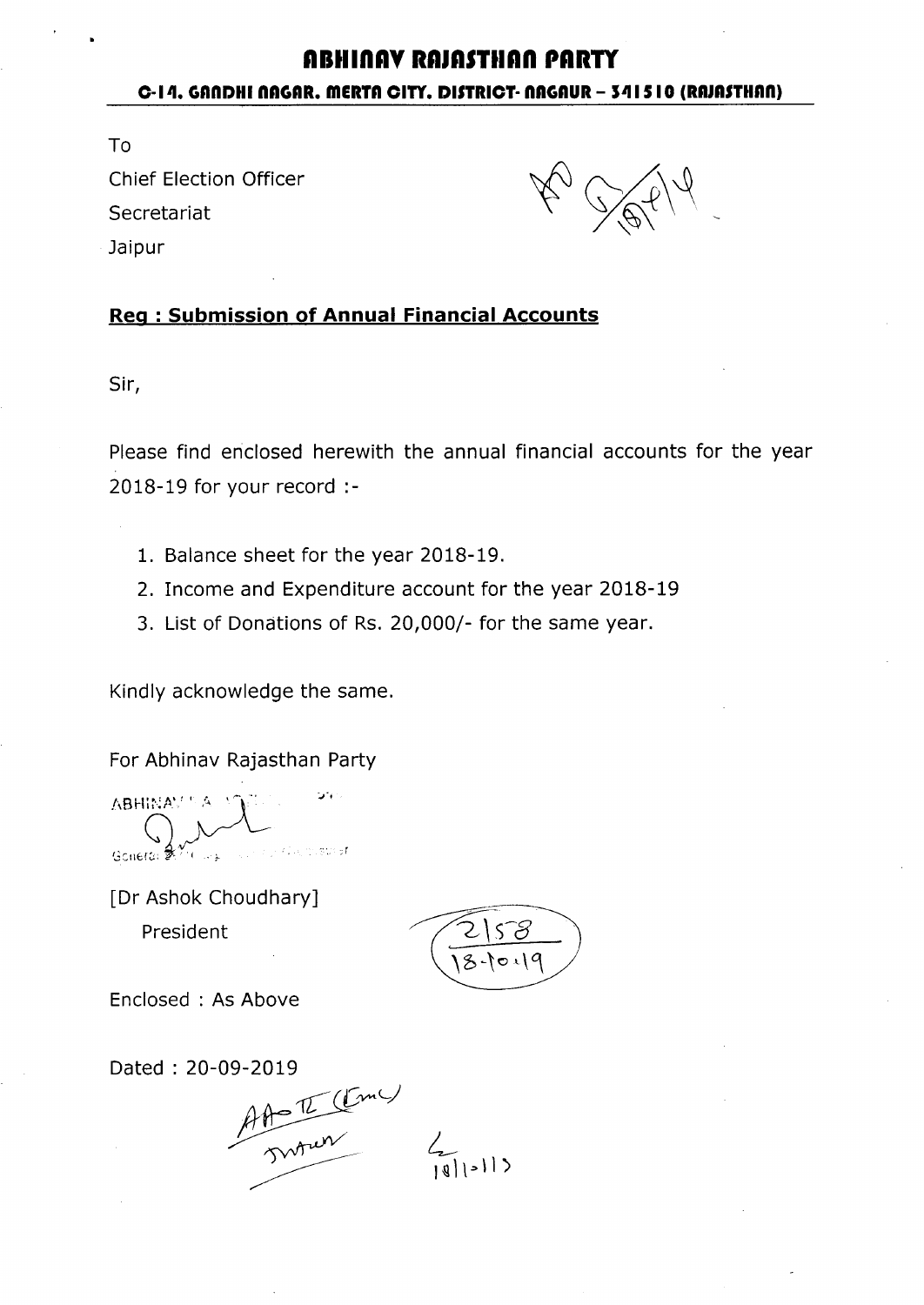# **AltlinAY RA'ASTtIAn PARTY C-I-4. GAnDl1i nAGAR. mERTA CITY. DISTRICT- nAGAUR - 5-41510 (RAJAnIIAn)**

To Chief Election Officer **Secretariat** Jaipur

## **Reg: Submission of Annual Financial Accounts**

Sir,

Please find enclosed herewith the annual financial accounts for the year 2018-19 for your record :-

- 1. Balance sheet for the year 2018-19.
- 2. Income and Expenditure account for the year 2018-19
- 3. List of Donations of Rs. 20,000/- for the same year.

Kindly acknowledge the same.

For Abhinav Rajasthan Party

**ABHINAV Also misturer** .<br>الوائد <sup>1</sup>0 Goneral St

[Dr Ashok Choudhary] President  $\sqrt{2}\sqrt{56}$ 

\b-'o~\~

Enclosed: As Above

Dated: 20-09-2019

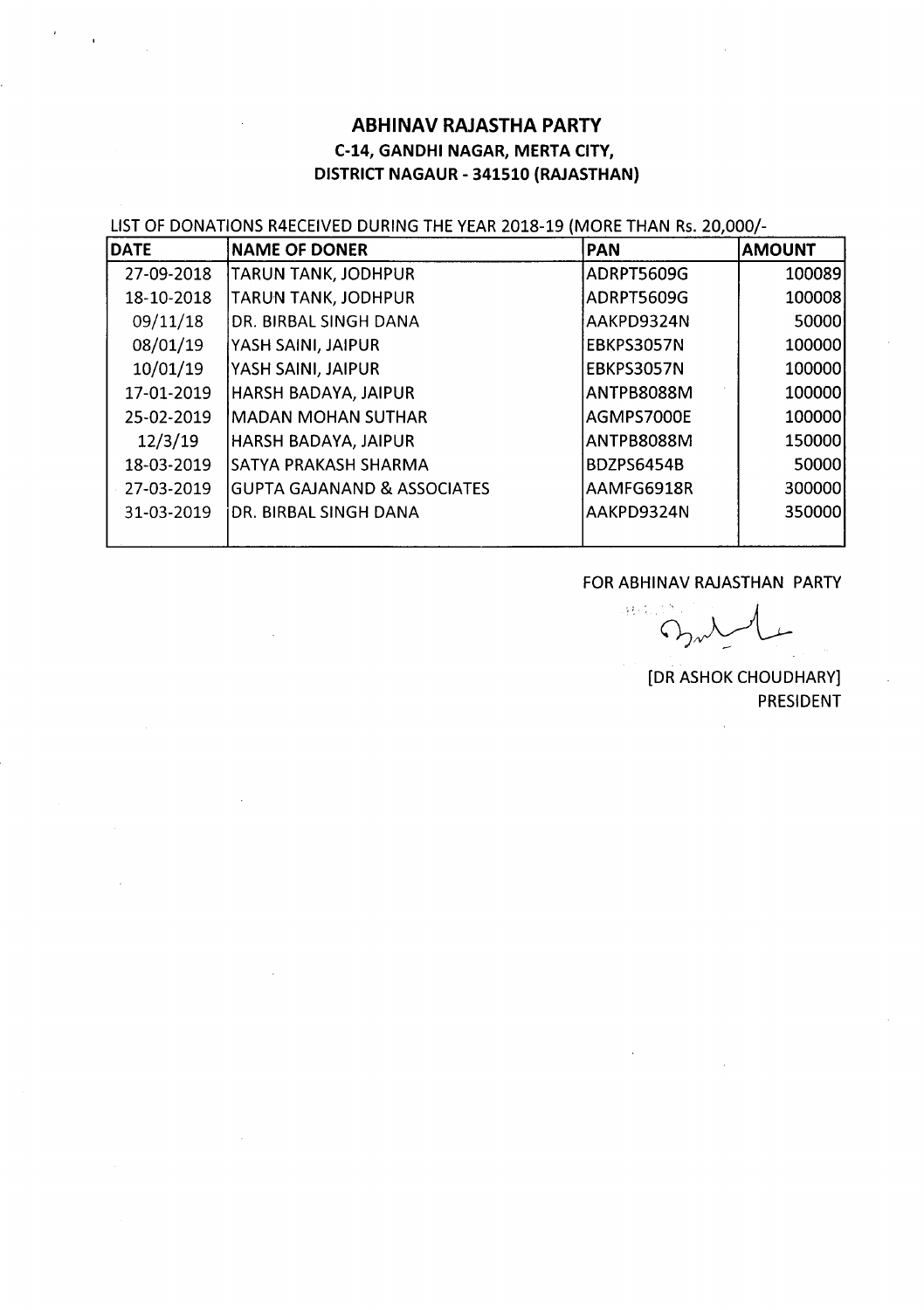## **ABHINAV RAJASTHA PARTY** C-14, GANDHI NAGAR, MERTA CITY, DISTRICT NAGAUR - 341510 (RAJASTHAN)

LIST OF DONATIONS R4ECEIVED DURING THE YEAR 2018-19 (MORE THAN Rs. 20,000/-

| <b>DATE</b> | <b>NAME OF DONER</b>                   | <b>PAN</b>        | <b>AMOUNT</b> |
|-------------|----------------------------------------|-------------------|---------------|
| 27-09-2018  | TARUN TANK, JODHPUR                    | ADRPT5609G        | 100089        |
| 18-10-2018  | TARUN TANK, JODHPUR                    | ADRPT5609G        | 100008        |
| 09/11/18    | DR. BIRBAL SINGH DANA                  | AAKPD9324N        | 50000         |
| 08/01/19    | YASH SAINI, JAIPUR                     | EBKPS3057N        | 100000        |
| 10/01/19    | YASH SAINI, JAIPUR                     | EBKPS3057N        | 100000        |
| 17-01-2019  | HARSH BADAYA, JAIPUR                   | ANTPB8088M        | 100000        |
| 25-02-2019  | MADAN MOHAN SUTHAR                     | AGMPS7000E        | 100000        |
| 12/3/19     | HARSH BADAYA, JAIPUR                   | <b>ANTPB8088M</b> | 150000        |
| 18-03-2019  | SATYA PRAKASH SHARMA                   | <b>BDZPS6454B</b> | 50000         |
| 27-03-2019  | <b>GUPTA GAJANAND &amp; ASSOCIATES</b> | AAMFG6918R        | 300000        |
| 31-03-2019  | DR. BIRBAL SINGH DANA                  | AAKPD9324N        | 350000        |
|             |                                        |                   |               |

## FOR ABHINAV RAJASTHAN PARTY

 $\frac{1}{2} \frac{1}{2} \frac{1}{2} \frac{1}{2}$  . سىل  $O_{\lambda}$ 

[DR ASHOK CHOUDHARY] PRESIDENT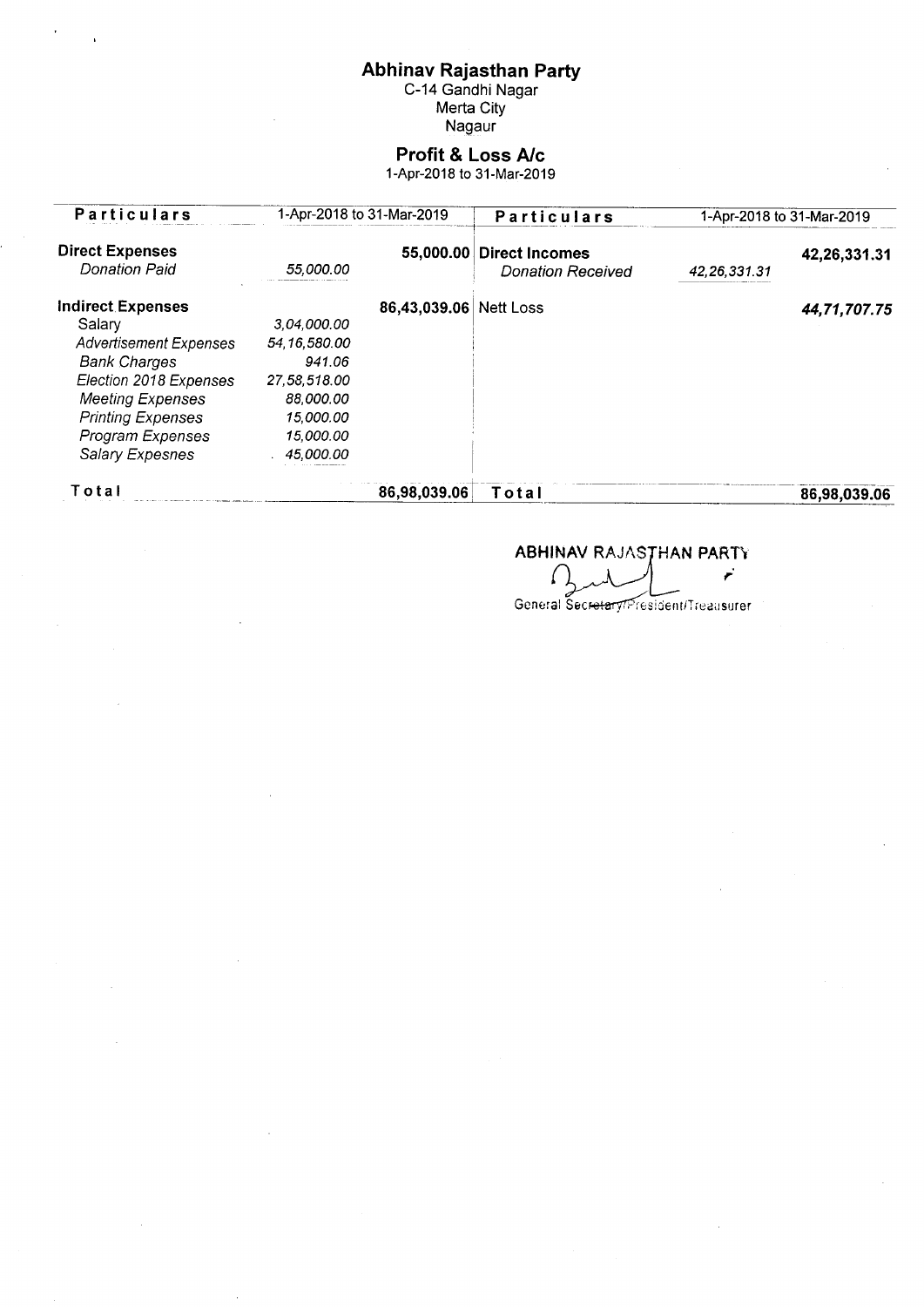Abhinav Rajasthan Party<br>C-14 Gandhi Nagar<br>Merta City<br>Nagaur

# **Profit & Loss A/c**<br>1-Apr-2018 to 31-Mar-2019

| <b>Particulars</b>                             | 1-Apr-2018 to 31-Mar-2019 |              | Particulars                                       | 1-Apr-2018 to 31-Mar-2019 |              |
|------------------------------------------------|---------------------------|--------------|---------------------------------------------------|---------------------------|--------------|
| <b>Direct Expenses</b><br><b>Donation Paid</b> | 55,000.00                 | 55,000.00    | <b>Direct Incomes</b><br><b>Donation Received</b> | 42, 26, 331. 31           | 42,26,331.31 |
| <b>Indirect Expenses</b>                       |                           | 86,43,039.06 | <b>Nett Loss</b>                                  |                           | 44,71,707.75 |
| Salary                                         | 3.04.000.00               |              |                                                   |                           |              |
| <b>Advertisement Expenses</b>                  | 54, 16, 580.00            |              |                                                   |                           |              |
| <b>Bank Charges</b>                            | 941.06                    |              |                                                   |                           |              |
| Election 2018 Expenses                         | 27,58,518.00              |              |                                                   |                           |              |
| <b>Meeting Expenses</b>                        | 88,000.00                 |              |                                                   |                           |              |
| <b>Printing Expenses</b>                       | 15,000.00                 |              |                                                   |                           |              |
| Program Expenses                               | 15,000.00                 |              |                                                   |                           |              |
| Salary Expesnes                                | 45,000.00                 |              |                                                   |                           |              |
| Total                                          |                           | 86,98,039.06 | Total                                             |                           | 86,98,039.06 |

ABHINAV RAJASTHAN PARTY

 $\mathbf{r}$  $\bigcap$ 

General Secretary President/Treausurer